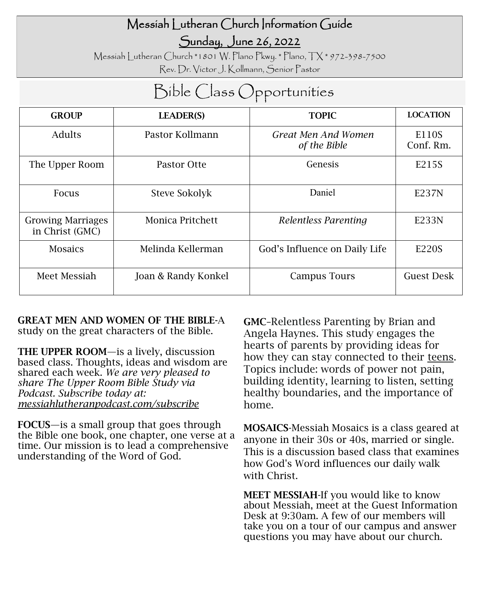## Messiah Lutheran Church Information Guide

Sunday, June 26, 2022

Messiah Lutheran Church \*1801 W. Plano Pkwy. \* Plano, TX \* 972-398-7500 Rev. Dr. Victor J. Kollmann, Senior Pastor

# Bible Class Opportunities

| <b>GROUP</b>                                | <b>LEADER(S)</b>    | <b>TOPIC</b>                        | <b>LOCATION</b>    |
|---------------------------------------------|---------------------|-------------------------------------|--------------------|
| Adults                                      | Pastor Kollmann     | Great Men And Women<br>of the Bible | E110S<br>Conf. Rm. |
| The Upper Room                              | Pastor Otte         | Genesis                             | E215S              |
| <b>Focus</b>                                | Steve Sokolyk       | Daniel                              | E237N              |
| <b>Growing Marriages</b><br>in Christ (GMC) | Monica Pritchett    | Relentless Parenting                | E233N              |
| <b>Mosaics</b>                              | Melinda Kellerman   | God's Influence on Daily Life       | E220S              |
| Meet Messiah                                | Joan & Randy Konkel | Campus Tours                        | Guest Desk         |

GREAT MEN AND WOMEN OF THE BIBLE-A study on the great characters of the Bible.

THE UPPER ROOM—is a lively, discussion based class. Thoughts, ideas and wisdom are shared each week. *We are very pleased to share The Upper Room Bible Study via Podcast. Subscribe today at: messiahlutheranpodcast.com/subscribe* 

FOCUS—is a small group that goes through the Bible one book, one chapter, one verse at a time. Our mission is to lead a comprehensive understanding of the Word of God.

GMC–Relentless Parenting by Brian and Angela Haynes. This study engages the hearts of parents by providing ideas for how they can stay connected to their teens. Topics include: words of power not pain, building identity, learning to listen, setting healthy boundaries, and the importance of home.

MOSAICS-Messiah Mosaics is a class geared at anyone in their 30s or 40s, married or single. This is a discussion based class that examines how God's Word influences our daily walk with Christ.

MEET MESSIAH-If you would like to know about Messiah, meet at the Guest Information Desk at 9:30am. A few of our members will take you on a tour of our campus and answer questions you may have about our church.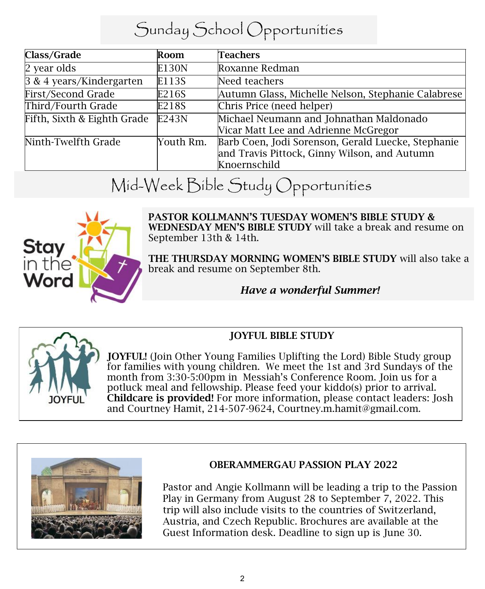## Sunday School Opportunities

| Class/Grade                 | Room      | Teachers                                           |
|-----------------------------|-----------|----------------------------------------------------|
| 2 year olds                 | E130N     | Roxanne Redman                                     |
| 3 & 4 years/Kindergarten    | E113S     | Need teachers                                      |
| First/Second Grade          | E216S     | Autumn Glass, Michelle Nelson, Stephanie Calabrese |
| Third/Fourth Grade          | E218S     | Chris Price (need helper)                          |
| Fifth, Sixth & Eighth Grade | E243N     | Michael Neumann and Johnathan Maldonado            |
|                             |           | Vicar Matt Lee and Adrienne McGregor               |
| Ninth-Twelfth Grade         | Youth Rm. | Barb Coen, Jodi Sorenson, Gerald Luecke, Stephanie |
|                             |           | and Travis Pittock, Ginny Wilson, and Autumn       |
|                             |           | Knoernschild                                       |

# Mid-Week Bible Study Opportunities



PASTOR KOLLMANN'S TUESDAY WOMEN'S BIBLE STUDY & WEDNESDAY MEN'S BIBLE STUDY will take a break and resume on September 13th & 14th.

THE THURSDAY MORNING WOMEN'S BIBLE STUDY will also take a break and resume on September 8th.

### *Have a wonderful Summer!*



JOYFUL! (Join Other Young Families Uplifting the Lord) Bible Study group for families with young children. We meet the 1st and 3rd Sundays of the month from 3:30-5:00pm in Messiah's Conference Room. Join us for a potluck meal and fellowship. Please feed your kiddo(s) prior to arrival. Childcare is provided! For more information, please contact leaders: Josh and Courtney Hamit, 214-507-9624, Courtney.m.hamit@gmail.com.

JOYFUL BIBLE STUDY



### OBERAMMERGAU PASSION PLAY 2022

Pastor and Angie Kollmann will be leading a trip to the Passion Play in Germany from August 28 to September 7, 2022. This trip will also include visits to the countries of Switzerland, Austria, and Czech Republic. Brochures are available at the Guest Information desk. Deadline to sign up is June 30.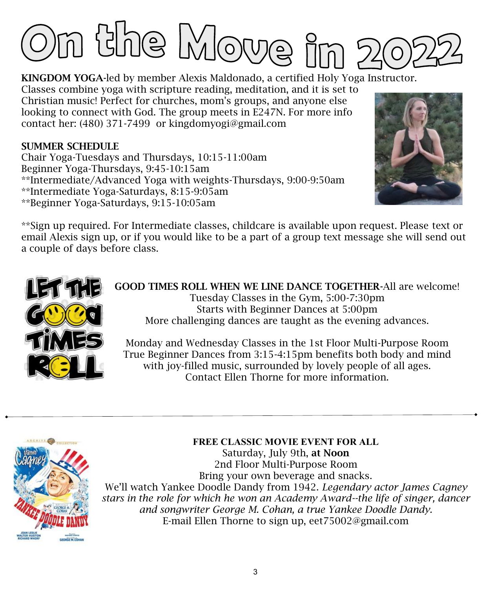

KINGDOM YOGA-led by member Alexis Maldonado, a certified Holy Yoga Instructor. Classes combine yoga with scripture reading, meditation, and it is set to Christian music! Perfect for churches, mom's groups, and anyone else looking to connect with God. The group meets in E247N. For more info contact her: (480) 371-7499 or kingdomyogi@gmail.com

#### SUMMER SCHEDULE

Chair Yoga-Tuesdays and Thursdays, 10:15-11:00am Beginner Yoga-Thursdays, 9:45-10:15am \*\*Intermediate/Advanced Yoga with weights-Thursdays, 9:00-9:50am \*\*Intermediate Yoga-Saturdays, 8:15-9:05am \*\*Beginner Yoga-Saturdays, 9:15-10:05am



\*\*Sign up required. For Intermediate classes, childcare is available upon request. Please text or email Alexis sign up, or if you would like to be a part of a group text message she will send out a couple of days before class.



GOOD TIMES ROLL WHEN WE LINE DANCE TOGETHER-All are welcome! Tuesday Classes in the Gym, 5:00-7:30pm Starts with Beginner Dances at 5:00pm More challenging dances are taught as the evening advances.

Monday and Wednesday Classes in the 1st Floor Multi-Purpose Room True Beginner Dances from 3:15-4:15pm benefits both body and mind with joy-filled music, surrounded by lovely people of all ages. Contact Ellen Thorne for more information.



**FREE CLASSIC MOVIE EVENT FOR ALL**

Saturday, July 9th, at Noon 2nd Floor Multi-Purpose Room Bring your own beverage and snacks. We'll watch Yankee Doodle Dandy from 1942. *Legendary actor James Cagney* 

*stars in the role for which he won an Academy Award--the life of singer, dancer and songwriter George M. Cohan, a true Yankee Doodle Dandy.* E-mail Ellen Thorne to sign up, eet75002@gmail.com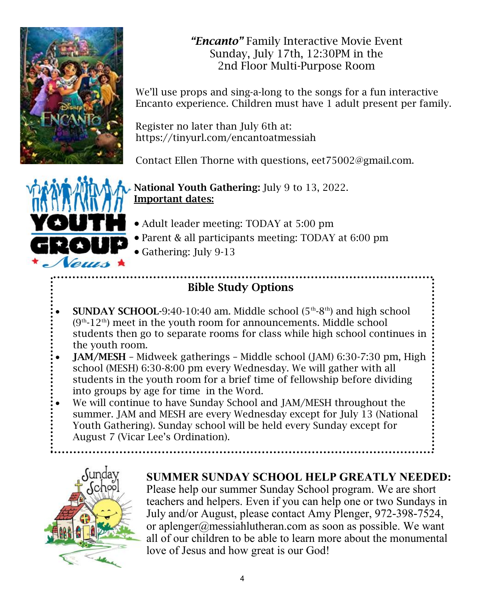

*"Encanto"* Family Interactive Movie Event Sunday, July 17th, 12:30PM in the 2nd Floor Multi-Purpose Room

We'll use props and sing-a-long to the songs for a fun interactive Encanto experience. Children must have 1 adult present per family.

Register no later than July 6th at: https://tinyurl.com/encantoatmessiah

Contact Ellen Thorne with questions, eet75002@gmail.com.



National Youth Gathering: July 9 to 13, 2022. Important dates:

- Adult leader meeting: TODAY at 5:00 pm
- Parent & all participants meeting: TODAY at 6:00 pm
- Gathering: July 9-13

## Bible Study Options

- SUNDAY SCHOOL-9:40-10:40 am. Middle school  $(5<sup>th</sup>-8<sup>th</sup>)$  and high school  $(9<sup>th</sup>-12<sup>th</sup>)$  meet in the youth room for announcements. Middle school students then go to separate rooms for class while high school continues in the youth room.
- JAM/MESH Midweek gatherings Middle school (JAM) 6:30-7:30 pm, High school (MESH) 6:30-8:00 pm every Wednesday. We will gather with all students in the youth room for a brief time of fellowship before dividing into groups by age for time in the Word.
- We will continue to have Sunday School and JAM/MESH throughout the summer. JAM and MESH are every Wednesday except for July 13 (National Youth Gathering). Sunday school will be held every Sunday except for August 7 (Vicar Lee's Ordination).



### **SUMMER SUNDAY SCHOOL HELP GREATLY NEEDED:**

Please help our summer Sunday School program. We are short teachers and helpers. Even if you can help one or two Sundays in July and/or August, please contact Amy Plenger, 972-398-7524, or aplenger@messiahlutheran.com as soon as possible. We want all of our children to be able to learn more about the monumental love of Jesus and how great is our God!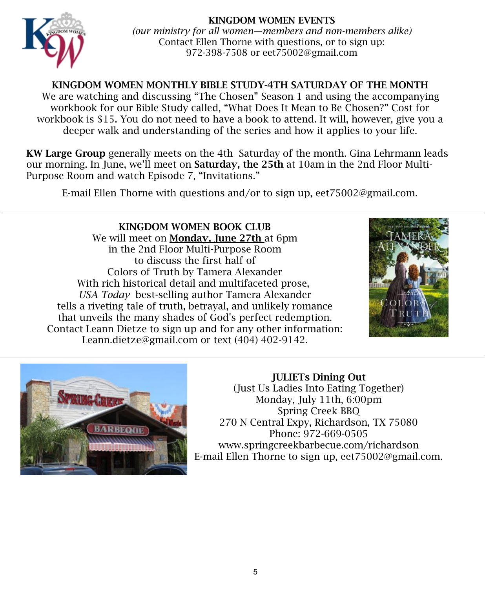#### KINGDOM WOMEN EVENTS



*(our ministry for all women—members and non-members alike)* Contact Ellen Thorne with questions, or to sign up: 972-398-7508 or eet75002@gmail.com

#### KINGDOM WOMEN MONTHLY BIBLE STUDY-4TH SATURDAY OF THE MONTH

We are watching and discussing "The Chosen" Season 1 and using the accompanying workbook for our Bible Study called, "What Does It Mean to Be Chosen?" Cost for workbook is \$15. You do not need to have a book to attend. It will, however, give you a deeper walk and understanding of the series and how it applies to your life.

KW Large Group generally meets on the 4th Saturday of the month. Gina Lehrmann leads our morning. In June, we'll meet on Saturday, the 25th at 10am in the 2nd Floor Multi-Purpose Room and watch Episode 7, "Invitations."

E-mail Ellen Thorne with questions and/or to sign up, eet75002@gmail.com.

KINGDOM WOMEN BOOK CLUB We will meet on **Monday**, **June 27th** at 6pm in the 2nd Floor Multi-Purpose Room to discuss the first half of Colors of Truth by Tamera Alexander With rich historical detail and multifaceted prose, *USA Today* best-selling author Tamera Alexander tells a riveting tale of truth, betrayal, and unlikely romance that unveils the many shades of God's perfect redemption. Contact Leann Dietze to sign up and for any other information: Leann.dietze@gmail.com or text (404) 402-9142.





JULIETs Dining Out (Just Us Ladies Into Eating Together) Monday, July 11th, 6:00pm Spring Creek BBQ 270 N Central Expy, Richardson, TX 75080 Phone: 972-669-0505 www.springcreekbarbecue.com/richardson E-mail Ellen Thorne to sign up, eet75002@gmail.com.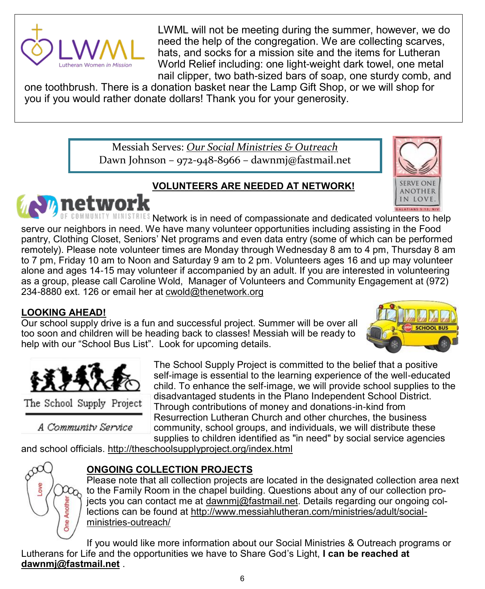

LWML will not be meeting during the summer, however, we do need the help of the congregation. We are collecting scarves, hats, and socks for a mission site and the items for Lutheran World Relief including: one light-weight dark towel, one metal nail clipper, two bath-sized bars of soap, one sturdy comb, and

one toothbrush. There is a donation basket near the Lamp Gift Shop, or we will shop for you if you would rather donate dollars! Thank you for your generosity.

> Messiah Serves: *Our Social Ministries & Outreach* Dawn Johnson – 972-948-8966 – dawnmj@fastmail.net

#### **VOLUNTEERS ARE NEEDED AT NETWORK!**





DE COMMUNITY MINISTRIES Network is in need of compassionate and dedicated volunteers to help serve our neighbors in need. We have many volunteer opportunities including assisting in the Food pantry, Clothing Closet, Seniors' Net programs and even data entry (some of which can be performed remotely). Please note volunteer times are Monday through Wednesday 8 am to 4 pm, Thursday 8 am to 7 pm, Friday 10 am to Noon and Saturday 9 am to 2 pm. Volunteers ages 16 and up may volunteer alone and ages 14-15 may volunteer if accompanied by an adult. If you are interested in volunteering as a group, please call Caroline Wold, Manager of Volunteers and Community Engagement at (972) 234-8880 ext. 126 or email her at [cwold@thenetwork.org](mailto:cwold@thenetwork.org)

#### **LOOKING AHEAD!**

Our school supply drive is a fun and successful project. Summer will be over all too soon and children will be heading back to classes! Messiah will be ready to help with our "School Bus List". Look for upcoming details.





The School Supply Project

A Community Service

The School Supply Project is committed to the belief that a positive self-image is essential to the learning experience of the well-educated child. To enhance the self-image, we will provide school supplies to the disadvantaged students in the Plano Independent School District. Through contributions of money and donations-in-kind from Resurrection Lutheran Church and other churches, the business community, school groups, and individuals, we will distribute these supplies to children identified as "in need" by social service agencies

and school officials. <http://theschoolsupplyproject.org/index.html>



### **ONGOING COLLECTION PROJECTS**

Please note that all collection projects are located in the designated collection area next to the Family Room in the chapel building. Questions about any of our collection projects you can contact me at [dawnmj@fastmail.net.](mailto:dawnmj@fastmail.net) Details regarding our ongoing collections can be found at [http://www.messiahlutheran.com/ministries/adult/social](http://www.messiahlutheran.com/ministries/adult/social-ministries-outreach/)[ministries-outreach/](http://www.messiahlutheran.com/ministries/adult/social-ministries-outreach/)

If you would like more information about our Social Ministries & Outreach programs or Lutherans for Life and the opportunities we have to Share God's Light, **I can be reached at [dawnmj@fastmail.net](mailto:dawnmj@fastmail.net)** .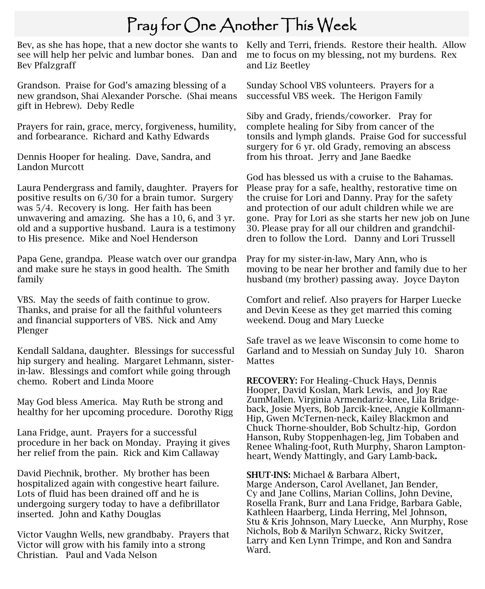## Pray for One Another This Week

Bev, as she has hope, that a new doctor she wants to Kelly and Terri, friends. Restore their health. Allow see will help her pelvic and lumbar bones. Dan and Bev Pfalzgraff

Grandson. Praise for God's amazing blessing of a new grandson, Shai Alexander Porsche. (Shai means gift in Hebrew). Deby Redle

Prayers for rain, grace, mercy, forgiveness, humility, and forbearance. Richard and Kathy Edwards

Dennis Hooper for healing. Dave, Sandra, and Landon Murcott

Laura Pendergrass and family, daughter. Prayers for positive results on 6/30 for a brain tumor. Surgery was 5/4. Recovery is long. Her faith has been unwavering and amazing. She has a 10, 6, and 3 yr. old and a supportive husband. Laura is a testimony to His presence. Mike and Noel Henderson

Papa Gene, grandpa. Please watch over our grandpa and make sure he stays in good health. The Smith family

VBS. May the seeds of faith continue to grow. Thanks, and praise for all the faithful volunteers and financial supporters of VBS. Nick and Amy Plenger

Kendall Saldana, daughter. Blessings for successful hip surgery and healing. Margaret Lehmann, sisterin-law. Blessings and comfort while going through chemo. Robert and Linda Moore

May God bless America. May Ruth be strong and healthy for her upcoming procedure. Dorothy Rigg

Lana Fridge, aunt. Prayers for a successful procedure in her back on Monday. Praying it gives her relief from the pain. Rick and Kim Callaway

David Piechnik, brother. My brother has been hospitalized again with congestive heart failure. Lots of fluid has been drained off and he is undergoing surgery today to have a defibrillator inserted. John and Kathy Douglas

Victor Vaughn Wells, new grandbaby. Prayers that Victor will grow with his family into a strong Christian. Paul and Vada Nelson

me to focus on my blessing, not my burdens. Rex and Liz Beetley

Sunday School VBS volunteers. Prayers for a successful VBS week. The Herigon Family

Siby and Grady, friends/coworker. Pray for complete healing for Siby from cancer of the tonsils and lymph glands. Praise God for successful surgery for 6 yr. old Grady, removing an abscess from his throat. Jerry and Jane Baedke

God has blessed us with a cruise to the Bahamas. Please pray for a safe, healthy, restorative time on the cruise for Lori and Danny. Pray for the safety and protection of our adult children while we are gone. Pray for Lori as she starts her new job on June 30. Please pray for all our children and grandchildren to follow the Lord. Danny and Lori Trussell

Pray for my sister-in-law, Mary Ann, who is moving to be near her brother and family due to her husband (my brother) passing away. Joyce Dayton

Comfort and relief. Also prayers for Harper Luecke and Devin Keese as they get married this coming weekend. Doug and Mary Luecke

Safe travel as we leave Wisconsin to come home to Garland and to Messiah on Sunday July 10. Sharon **Mattes** 

RECOVERY: For Healing–Chuck Hays, Dennis Hooper, David Koslan, Mark Lewis, and Joy Rae ZumMallen. Virginia Armendariz-knee, Lila Bridgeback, Josie Myers, Bob Jarcik-knee, Angie Kollmann-Hip, Gwen McTernen-neck, Kailey Blackmon and Chuck Thorne-shoulder, Bob Schultz-hip, Gordon Hanson, Ruby Stoppenhagen-leg, Jim Tobaben and Renee Whaling-foot, Ruth Murphy, Sharon Lamptonheart, Wendy Mattingly, and Gary Lamb-back.

SHUT-INS: Michael & Barbara Albert,

Marge Anderson, Carol Avellanet, Jan Bender, Cy and Jane Collins, Marian Collins, John Devine, Rosella Frank, Burr and Lana Fridge, Barbara Gable, Kathleen Haarberg, Linda Herring, Mel Johnson, Stu & Kris Johnson, Mary Luecke, Ann Murphy, Rose Nichols, Bob & Marilyn Schwarz, Ricky Switzer, Larry and Ken Lynn Trimpe, and Ron and Sandra Ward.